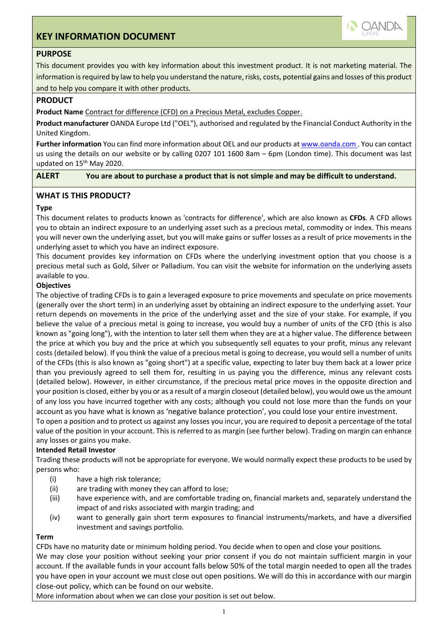# **KEY INFORMATION DOCUMENT**



## **PURPOSE**

This document provides you with key information about this investment product. It is not marketing material. The information is required by law to help you understand the nature, risks, costs, potential gains and losses of this product and to help you compare it with other products.

### **PRODUCT**

**Product Name** Contract for difference (CFD) on a Precious Metal, excludes Copper.

**Product manufacturer** OANDA Europe Ltd ("OEL"), authorised and regulated by the Financial Conduct Authority in the United Kingdom.

**Further information** You can find more information about OEL and our products at www.oanda.com . You can contact us using the details on our website or by calling 0207 101 1600 8am – 6pm (London time). This document was last updated on 15<sup>th</sup> May 2020.

**ALERT You are about to purchase a product that is not simple and may be difficult to understand.**

## **WHAT IS THIS PRODUCT?**

## **Type**

This document relates to products known as 'contracts for difference', which are also known as **CFDs**. A CFD allows you to obtain an indirect exposure to an underlying asset such as a precious metal, commodity or index. This means you will never own the underlying asset, but you will make gains or suffer losses as a result of price movements in the underlying asset to which you have an indirect exposure.

This document provides key information on CFDs where the underlying investment option that you choose is a precious metal such as Gold, Silver or Palladium. You can visit the website for information on the underlying assets available to you.

## **Objectives**

The objective of trading CFDs is to gain a leveraged exposure to price movements and speculate on price movements (generally over the short term) in an underlying asset by obtaining an indirect exposure to the underlying asset. Your return depends on movements in the price of the underlying asset and the size of your stake. For example, if you believe the value of a precious metal is going to increase, you would buy a number of units of the CFD (this is also known as "going long"), with the intention to later sell them when they are at a higher value. The difference between the price at which you buy and the price at which you subsequently sell equates to your profit, minus any relevant costs (detailed below). If you think the value of a precious metal is going to decrease, you would sell a number of units of the CFDs (this is also known as "going short") at a specific value, expecting to later buy them back at a lower price than you previously agreed to sell them for, resulting in us paying you the difference, minus any relevant costs (detailed below). However, in either circumstance, if the precious metal price moves in the opposite direction and your position is closed, either by you or as a result of a margin closeout (detailed below), you would owe us the amount of any loss you have incurred together with any costs; although you could not lose more than the funds on your account as you have what is known as 'negative balance protection', you could lose your entire investment.

To open a position and to protect us against any losses you incur, you are required to deposit a percentage of the total value of the position in your account. This is referred to as margin (see further below). Trading on margin can enhance any losses or gains you make.

#### **Intended Retail Investor**

Trading these products will not be appropriate for everyone. We would normally expect these products to be used by persons who:

- (i) have a high risk tolerance;
- (ii) are trading with money they can afford to lose;
- (iii) have experience with, and are comfortable trading on, financial markets and, separately understand the impact of and risks associated with margin trading; and
- (iv) want to generally gain short term exposures to financial instruments/markets, and have a diversified investment and savings portfolio.

#### **Term**

CFDs have no maturity date or minimum holding period. You decide when to open and close your positions. We may close your position without seeking your prior consent if you do not maintain sufficient margin in your account. If the available funds in your account falls below 50% of the total margin needed to open all the trades you have open in your account we must close out open positions. We will do this in accordance with our margin close-out policy, which can be found on our website.

More information about when we can close your position is set out below.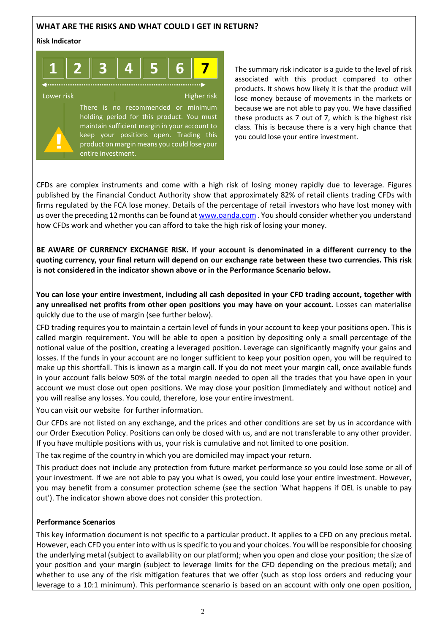## **WHAT ARE THE RISKS AND WHAT COULD I GET IN RETURN?**

#### **Risk Indicator**

**!**



Lower risk **Higher risk** Higher risk There is no recommended or minimum holding period for this product. You must maintain sufficient margin in your account to keep your positions open. Trading this product on margin means you could lose your entire investment.

The summary risk indicator is a guide to the level of risk associated with this product compared to other products. It shows how likely it is that the product will lose money because of movements in the markets or because we are not able to pay you. We have classified these products as 7 out of 7, which is the highest risk class. This is because there is a very high chance that you could lose your entire investment.

CFDs are complex instruments and come with a high risk of losing money rapidly due to leverage. Figures published by the Financial Conduct Authority show that approximately 82% of retail clients trading CFDs with firms regulated by the FCA lose money. Details of the percentage of retail investors who have lost money with us over the preceding 12 months can be found a[t www.oanda.com](http://www.oanda.com/) . You should consider whether you understand how CFDs work and whether you can afford to take the high risk of losing your money.

**BE AWARE OF CURRENCY EXCHANGE RISK. If your account is denominated in a different currency to the quoting currency, your final return will depend on our exchange rate between these two currencies. This risk is not considered in the indicator shown above or in the Performance Scenario below.**

## **You can lose your entire investment, including all cash deposited in your CFD trading account, together with any unrealised net profits from other open positions you may have on your account.** Losses can materialise quickly due to the use of margin (see further below).

CFD trading requires you to maintain a certain level of funds in your account to keep your positions open. This is called margin requirement. You will be able to open a position by depositing only a small percentage of the notional value of the position, creating a leveraged position. Leverage can significantly magnify your gains and losses. If the funds in your account are no longer sufficient to keep your position open, you will be required to make up this shortfall. This is known as a margin call. If you do not meet your margin call, once available funds in your account falls below 50% of the total margin needed to open all the trades that you have open in your account we must close out open positions. We may close your position (immediately and without notice) and you will realise any losses. You could, therefore, lose your entire investment.

You can visit our website for further information.

Our CFDs are not listed on any exchange, and the prices and other conditions are set by us in accordance with our Order Execution Policy. Positions can only be closed with us, and are not transferable to any other provider. If you have multiple positions with us, your risk is cumulative and not limited to one position.

The tax regime of the country in which you are domiciled may impact your return.

This product does not include any protection from future market performance so you could lose some or all of your investment. If we are not able to pay you what is owed, you could lose your entire investment. However, you may benefit from a consumer protection scheme (see the section 'What happens if OEL is unable to pay out'). The indicator shown above does not consider this protection.

## **Performance Scenarios**

This key information document is not specific to a particular product. It applies to a CFD on any precious metal. However, each CFD you enter into with us is specific to you and your choices. You will be responsible for choosing the underlying metal (subject to availability on our platform); when you open and close your position; the size of your position and your margin (subject to leverage limits for the CFD depending on the precious metal); and whether to use any of the risk mitigation features that we offer (such as stop loss orders and reducing your leverage to a 10:1 minimum). This performance scenario is based on an account with only one open position,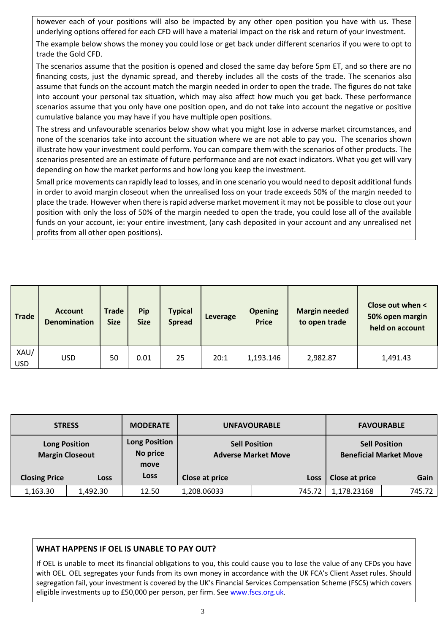however each of your positions will also be impacted by any other open position you have with us. These underlying options offered for each CFD will have a material impact on the risk and return of your investment.

The example below shows the money you could lose or get back under different scenarios if you were to opt to trade the Gold CFD.

The scenarios assume that the position is opened and closed the same day before 5pm ET, and so there are no financing costs, just the dynamic spread, and thereby includes all the costs of the trade. The scenarios also assume that funds on the account match the margin needed in order to open the trade. The figures do not take into account your personal tax situation, which may also affect how much you get back. These performance scenarios assume that you only have one position open, and do not take into account the negative or positive cumulative balance you may have if you have multiple open positions.

The stress and unfavourable scenarios below show what you might lose in adverse market circumstances, and none of the scenarios take into account the situation where we are not able to pay you. The scenarios shown illustrate how your investment could perform. You can compare them with the scenarios of other products. The scenarios presented are an estimate of future performance and are not exact indicators. What you get will vary depending on how the market performs and how long you keep the investment.

Small price movements can rapidly lead to losses, and in one scenario you would need to deposit additional funds in order to avoid margin closeout when the unrealised loss on your trade exceeds 50% of the margin needed to place the trade. However when there is rapid adverse market movement it may not be possible to close out your position with only the loss of 50% of the margin needed to open the trade, you could lose all of the available funds on your account, ie: your entire investment, (any cash deposited in your account and any unrealised net profits from all other open positions).

| <b>Trade</b>       | <b>Account</b><br><b>Denomination</b> | <b>Trade</b><br><b>Size</b> | <b>Pip</b><br><b>Size</b> | <b>Typical</b><br><b>Spread</b> | Leverage | <b>Opening</b><br><b>Price</b> | <b>Margin needed</b><br>to open trade | Close out when <<br>50% open margin<br>held on account |
|--------------------|---------------------------------------|-----------------------------|---------------------------|---------------------------------|----------|--------------------------------|---------------------------------------|--------------------------------------------------------|
| XAU/<br><b>USD</b> | <b>USD</b>                            | 50                          | 0.01                      | 25                              | 20:1     | 1,193.146                      | 2,982.87                              | 1,491.43                                               |

| <b>STRESS</b>                                  |             | <b>MODERATE</b>                          |                | <b>UNFAVOURABLE</b>                                | <b>FAVOURABLE</b>                                     |        |
|------------------------------------------------|-------------|------------------------------------------|----------------|----------------------------------------------------|-------------------------------------------------------|--------|
| <b>Long Position</b><br><b>Margin Closeout</b> |             | <b>Long Position</b><br>No price<br>move |                | <b>Sell Position</b><br><b>Adverse Market Move</b> | <b>Sell Position</b><br><b>Beneficial Market Move</b> |        |
| <b>Closing Price</b>                           | <b>Loss</b> | Loss                                     | Close at price | <b>Loss</b>                                        | Close at price                                        | Gain   |
| 1,163.30                                       | 1,492.30    | 12.50                                    | 1,208.06033    | 745.72                                             | 1,178.23168                                           | 745.72 |

## **WHAT HAPPENS IF OEL IS UNABLE TO PAY OUT?**

If OEL is unable to meet its financial obligations to you, this could cause you to lose the value of any CFDs you have with OEL. OEL segregates your funds from its own money in accordance with the UK FCA's Client Asset rules. Should segregation fail, your investment is covered by the UK's Financial Services Compensation Scheme (FSCS) which covers eligible investments up to £50,000 per person, per firm. See [www.fscs.org.uk.](http://www.fscs.org.uk/)